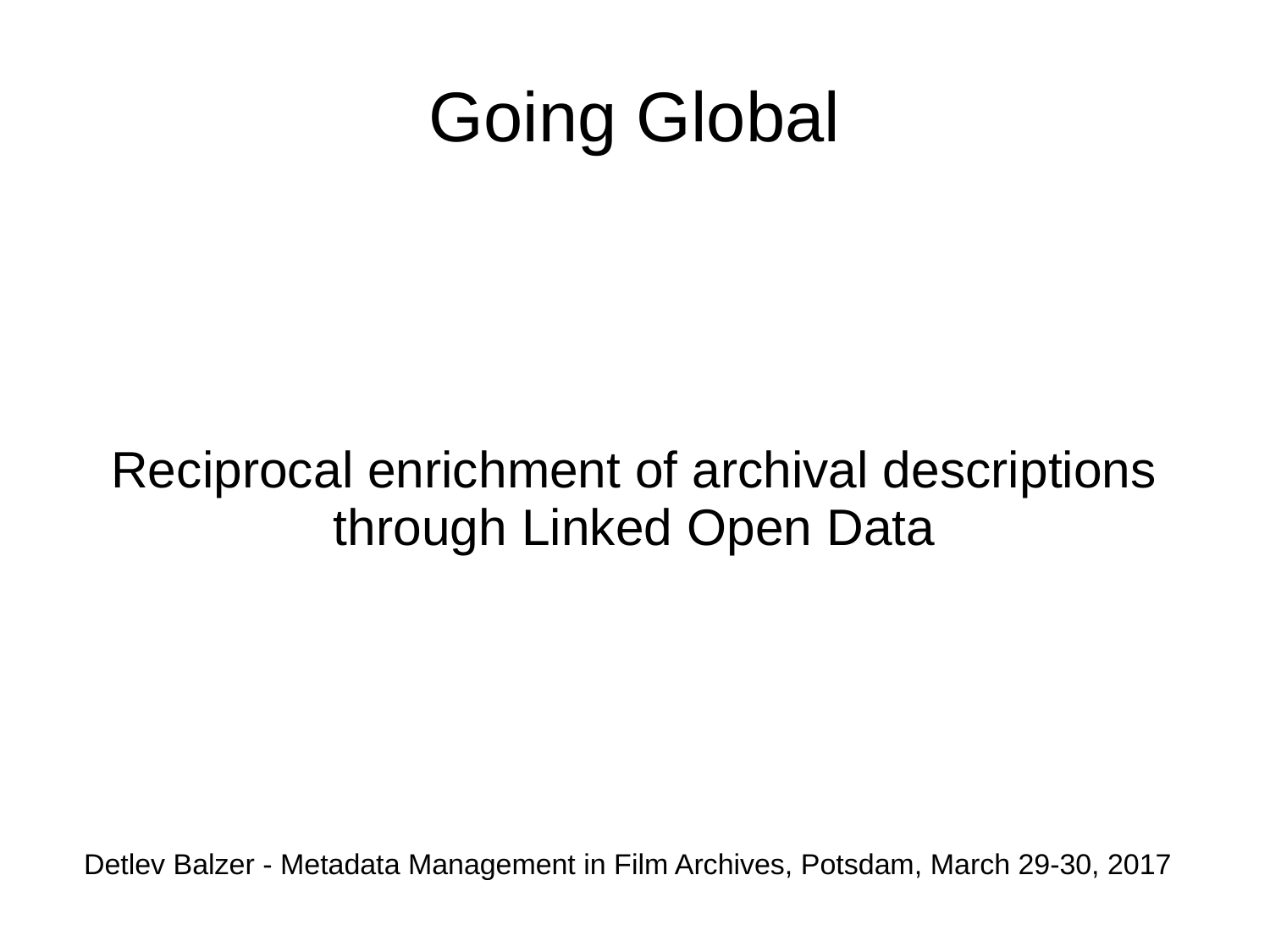# Going Global

#### Reciprocal enrichment of archival descriptions through Linked Open Data

Detlev Balzer - Metadata Management in Film Archives, Potsdam, March 29-30, 2017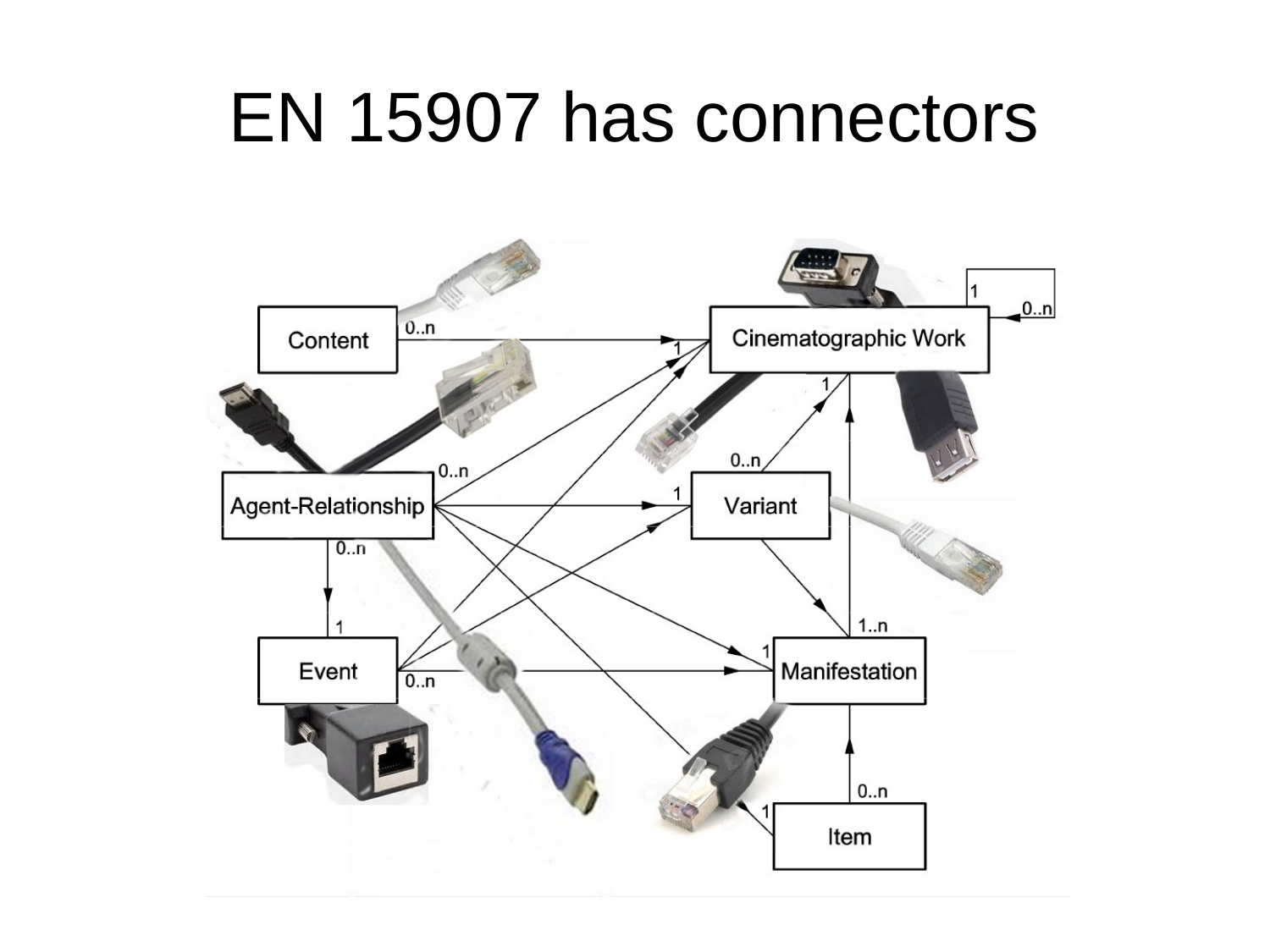#### EN 15907 has connectors

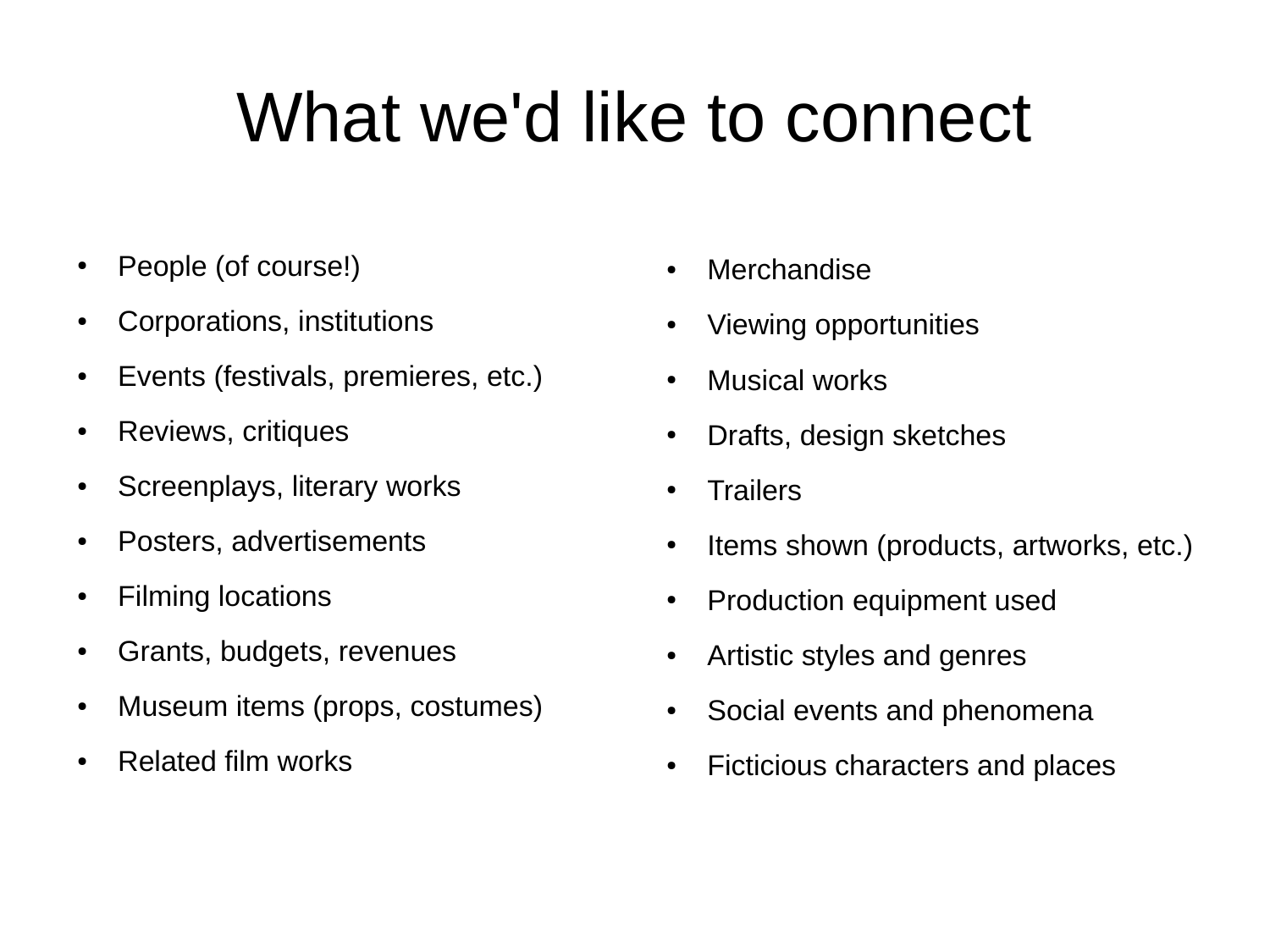# What we'd like to connect

- People (of course!)
- Corporations, institutions
- Events (festivals, premieres, etc.)
- Reviews, critiques
- Screenplays, literary works
- Posters, advertisements
- Filming locations
- Grants, budgets, revenues
- Museum items (props, costumes)
- Related film works
- Merchandise
- Viewing opportunities
- Musical works
- Drafts, design sketches
- Trailers
- Items shown (products, artworks, etc.)
- Production equipment used
- Artistic styles and genres
- Social events and phenomena
- Ficticious characters and places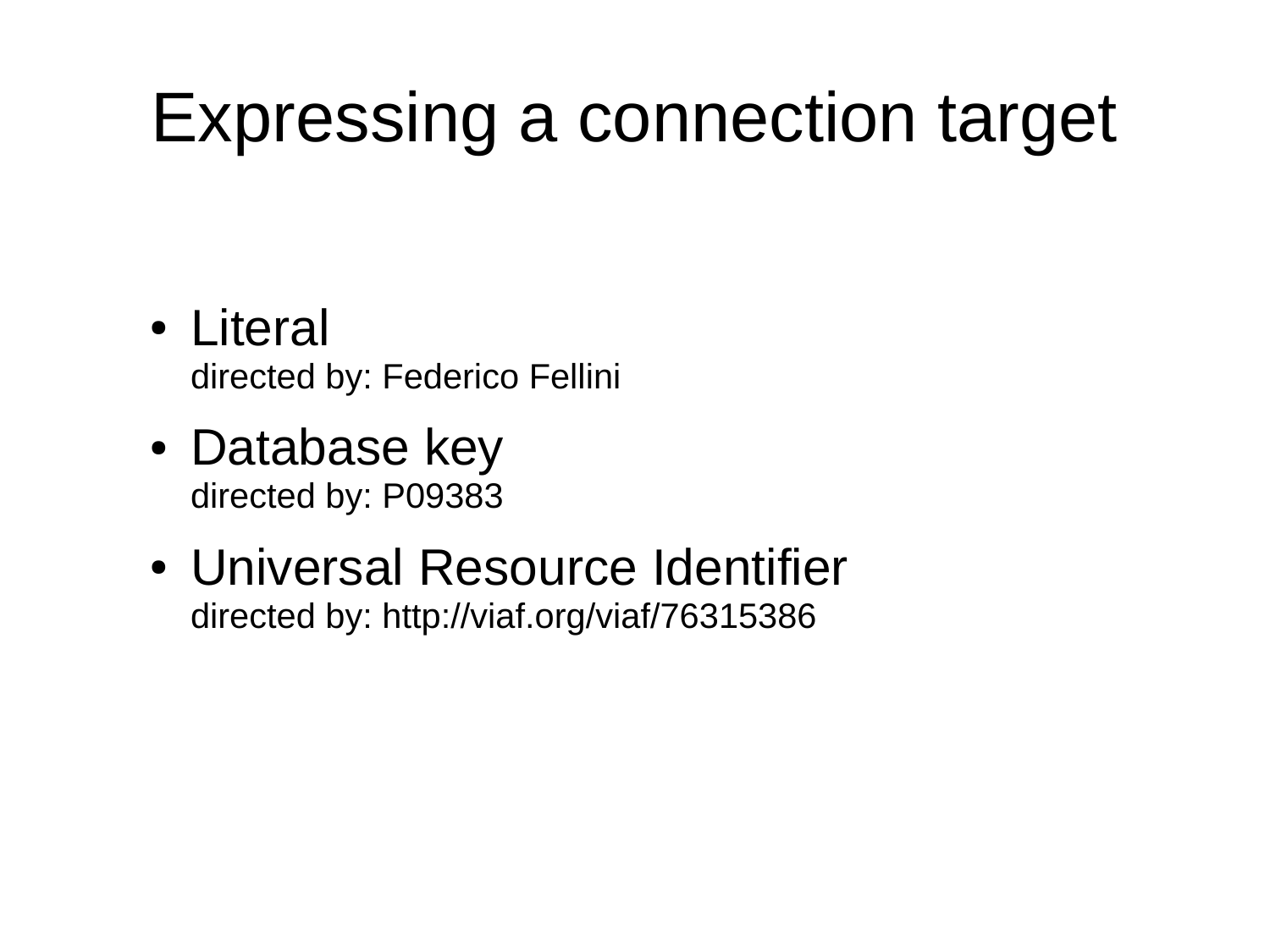# Expressing a connection target

- Literal directed by: Federico Fellini
- Database key directed by: P09383
- Universal Resource Identifier directed by: http://viaf.org/viaf/76315386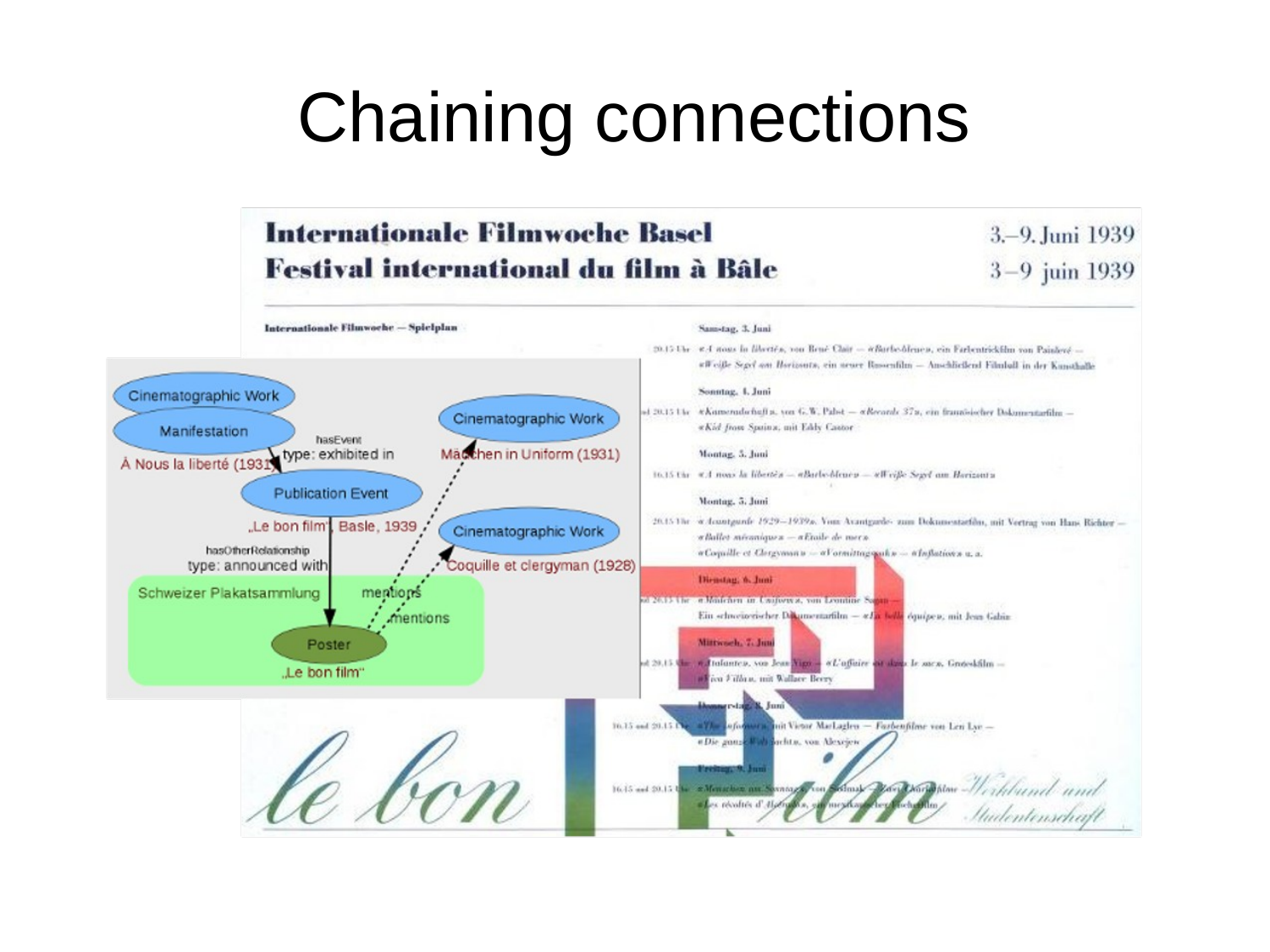# Chaining connections

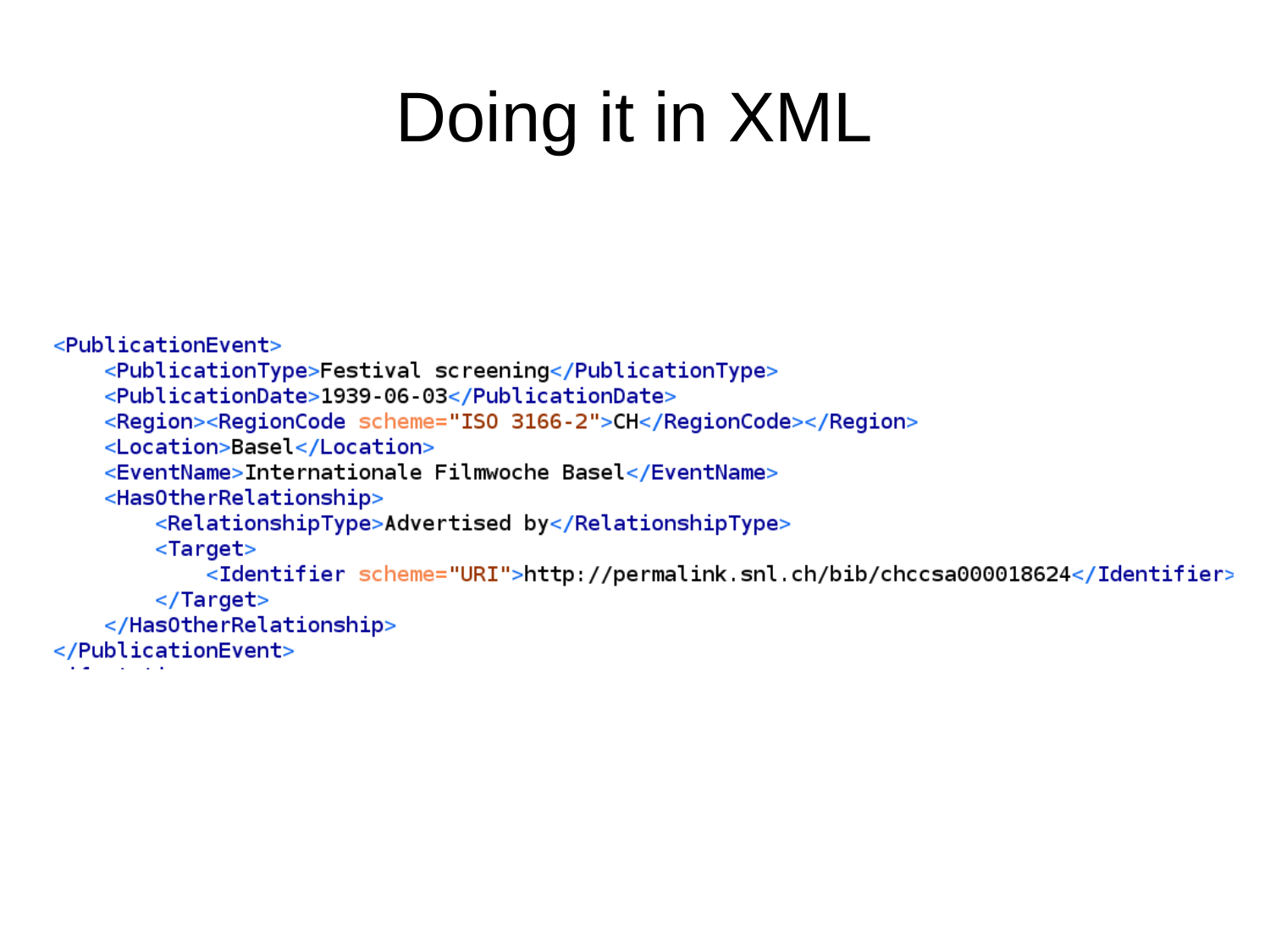# Doing it in XML

```
<PublicationEvent>
    <PublicationType>Festival screening</PublicationType>
    <PublicationDate>1939-06-03</PublicationDate>
    <Region><RegionCode scheme="IS0 3166-2">CH</RegionCode></Region>
    <Location>Basel</Location>
    <EventName>Internationale Filmwoche Basel</EventName>
    <Has0therRelationship>
        <RelationshipType>Advertised by</RelationshipType>
        <Target>
            <Identifier scheme="URI">http://permalink.snl.ch/bib/chccsa000018624</Identifier>
        </Target>
    </HasOtherRelationship>
</PublicationEvent>
```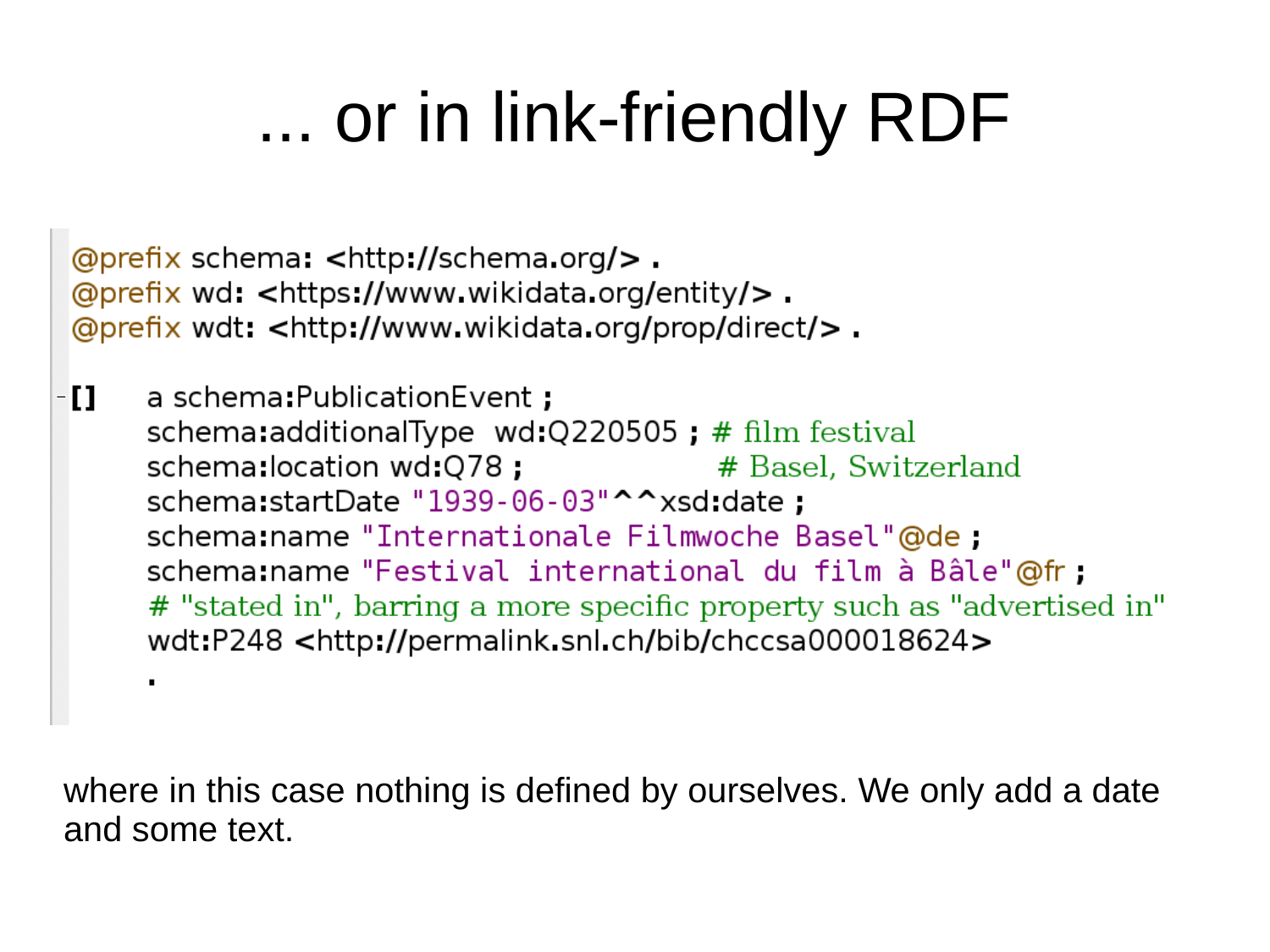# ... or in link-friendly RDF

@prefix schema: <http://schema.org/>. @prefix wd: <https://www.wikidata.org/entity/>. @prefix wdt: <http://www.wikidata.org/prop/direct/>.

· [ ] a schema: Publication Event ; schema:additionalType wd:Q220505; # film festival schema:location wd:Q78; # Basel, Switzerland schema:startDate "1939-06-03"^^xsd:date; schema:name "Internationale Filmwoche Basel"@de; schema: name "Festival international du film à Bâle"@fr; # "stated in", barring a more specific property such as "advertised in" wdt:P248 <http://permalink.snl.ch/bib/chccsa000018624>  $\blacksquare$ 

where in this case nothing is defined by ourselves. We only add a date and some text.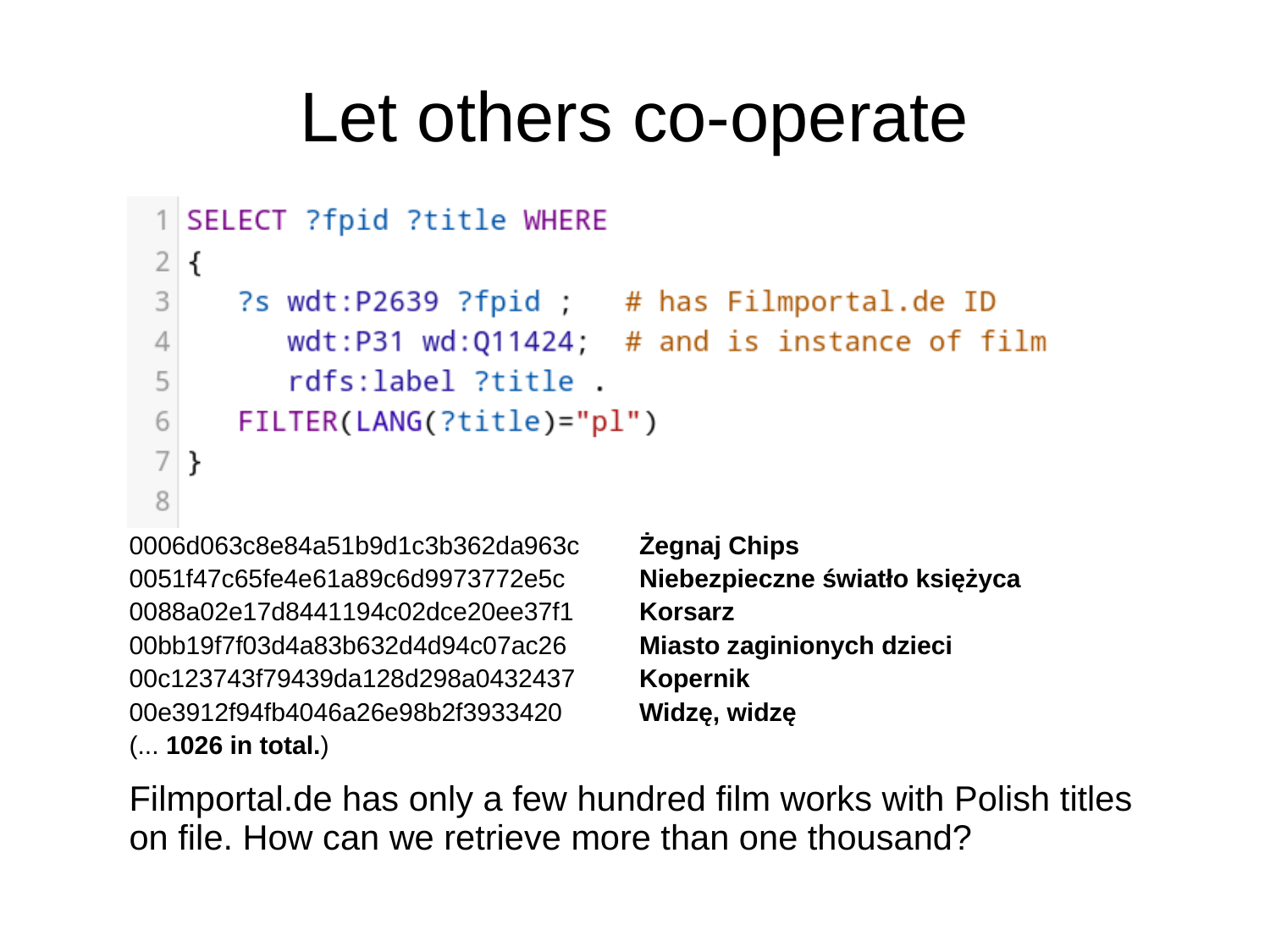#### Let others co-operate

```
1 SELECT ?fpid ?title WHERE
2 \mid \{3
     ?s wdt:P2639 ?fpid ; # has Filmportal.de ID
         wdt:P31 wd:Q11424; # and is instance of film
\overline{4}5
         rdfs:label ?title.
6
     FILTER(LANG(?title)="pl")
7
  \mathcal{F}8
```
0006d063c8e84a51b9d1c3b362da963c **Żegnaj Chips** 0051f47c65fe4e61a89c6d9973772e5c **Niebezpieczne światło księżyca** 0088a02e17d8441194c02dce20ee37f1 **Korsarz** 00bb19f7f03d4a83b632d4d94c07ac26 **Miasto zaginionych dzieci** 00c123743f79439da128d298a0432437 **Kopernik** 00e3912f94fb4046a26e98b2f3933420 **Widzę, widzę** (... **1026 in total.**)

Filmportal.de has only a few hundred film works with Polish titles on file. How can we retrieve more than one thousand?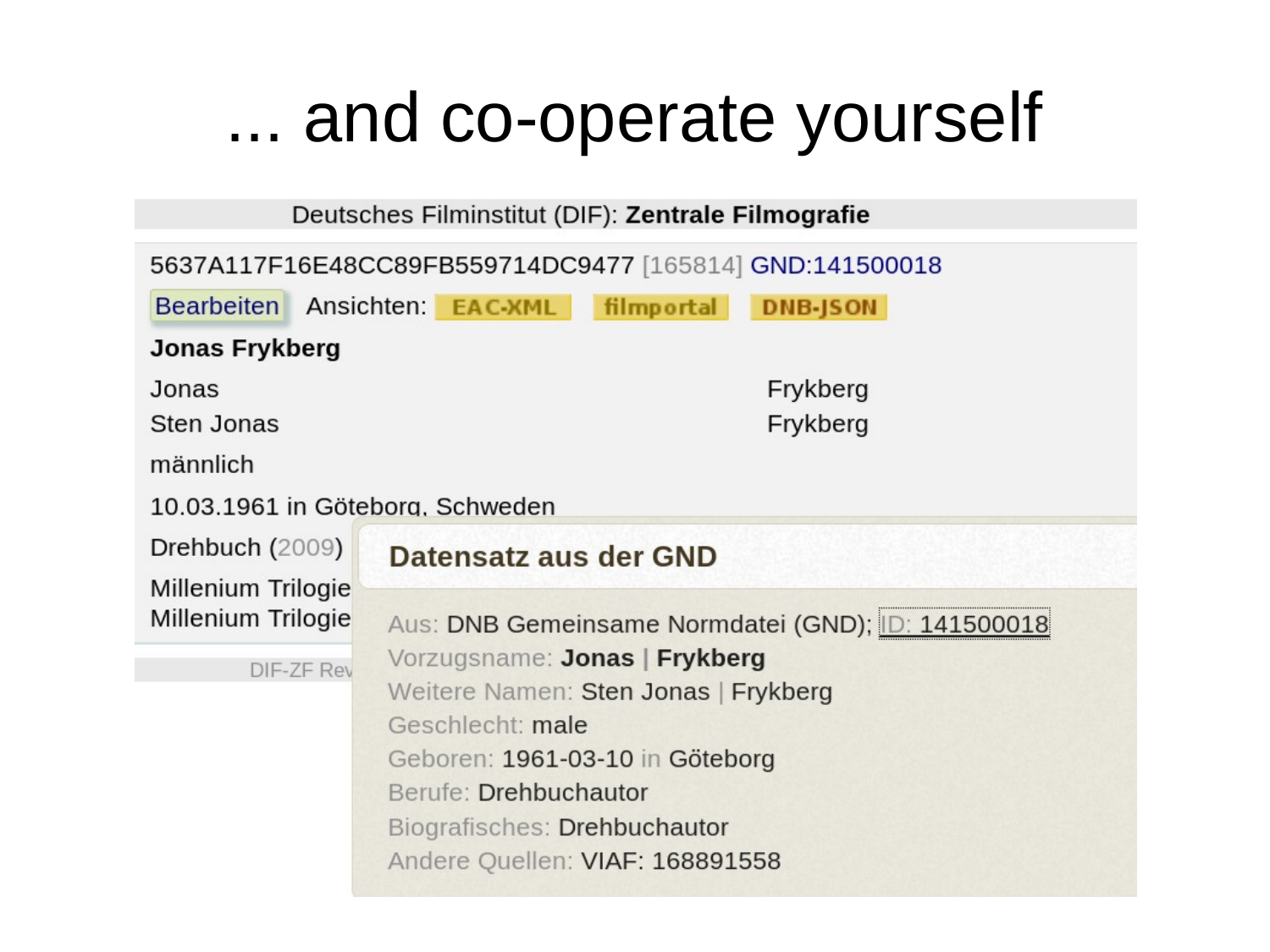#### ... and co-operate yourself

Deutsches Filminstitut (DIF): Zentrale Filmografie

| 5637A117F16E48CC89FB559714DC9477 [165814] GND:141500018 |                                                                |
|---------------------------------------------------------|----------------------------------------------------------------|
|                                                         | Bearbeiten Ansichten: EAC-XML<br>filmportal<br><b>DNB-JSON</b> |
| Jonas Frykberg                                          |                                                                |
| Jonas                                                   | Frykberg                                                       |
| Sten Jonas                                              | Frykberg                                                       |
| männlich                                                |                                                                |
| 10.03.1961 in Göteborg, Schweden                        |                                                                |
| Drehbuch (2009)                                         | Datensatz aus der GND                                          |
| Millenium Trilogie<br>Millenium Trilogie                | Aus: DNB Gemeinsame Normdatei (GND); ID: 141500018             |
| DIF-ZF Rev                                              | Vorzugsname: Jonas   Frykberg                                  |
|                                                         | Weitere Namen: Sten Jonas   Frykberg                           |
|                                                         | Geschlecht: male                                               |
|                                                         | Geboren: 1961-03-10 in Göteborg                                |
|                                                         | Berufe: Drehbuchautor                                          |
|                                                         | Biografisches: Drehbuchautor                                   |
|                                                         | Andere Quellen: VIAF: 168891558                                |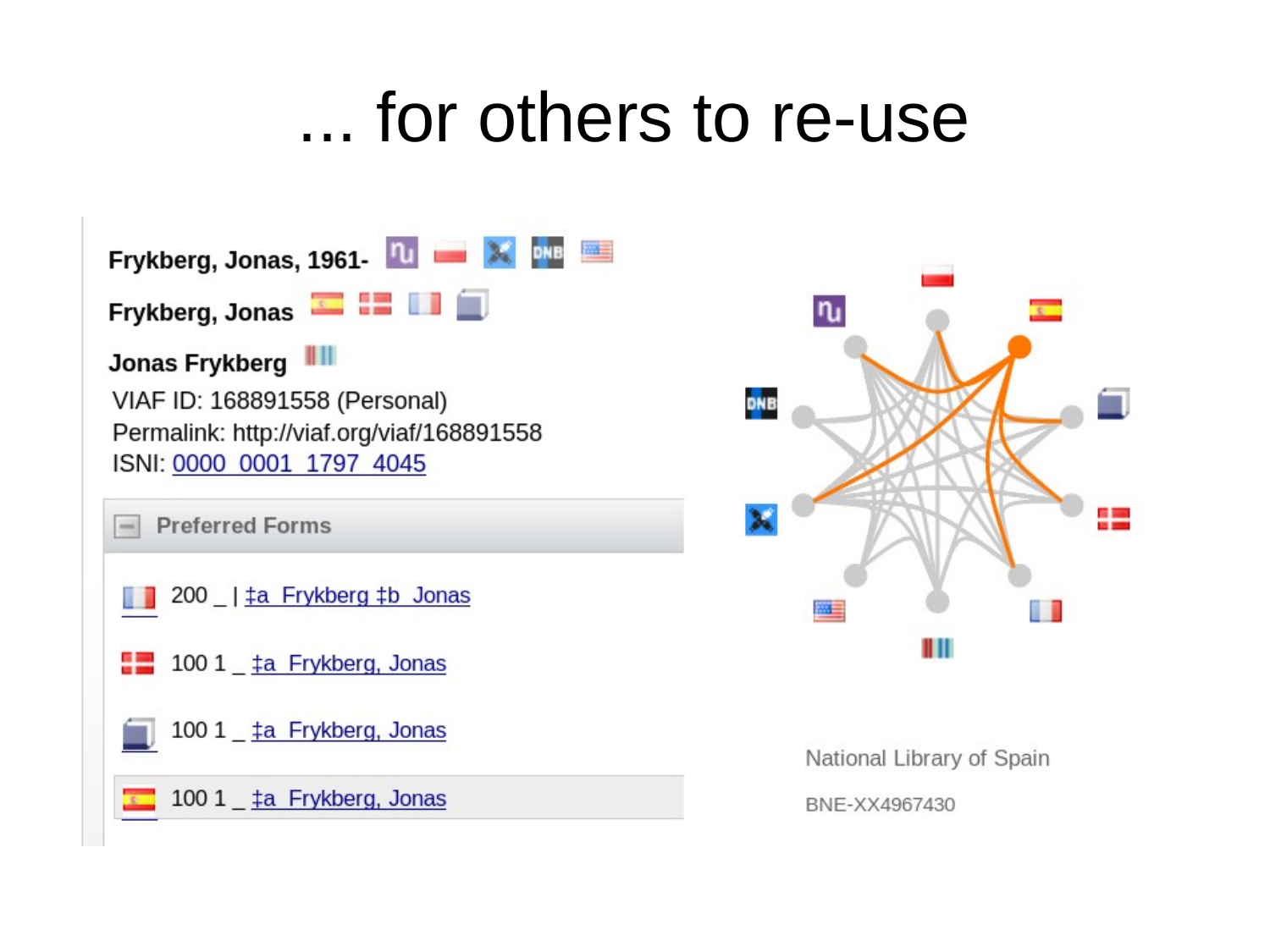#### ... for others to re-use





National Library of Spain

BNE-XX4967430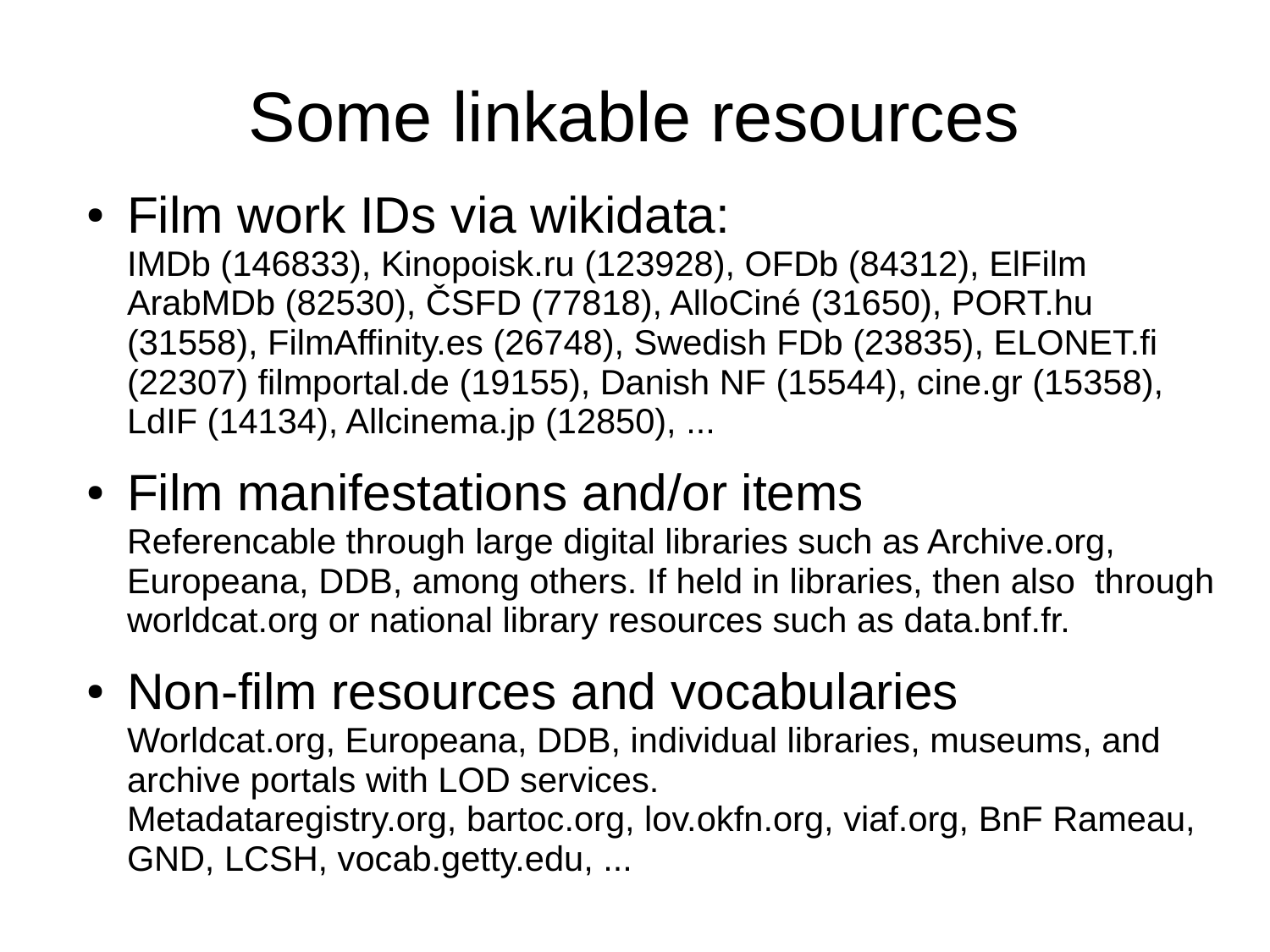# Some linkable resources

• Film work IDs via wikidata:

IMDb (146833), Kinopoisk.ru (123928), OFDb (84312), ElFilm ArabMDb (82530), ČSFD (77818), AlloCiné (31650), PORT.hu (31558), FilmAffinity.es (26748), Swedish FDb (23835), ELONET.fi (22307) filmportal.de (19155), Danish NF (15544), cine.gr (15358), LdIF (14134), Allcinema.jp (12850), ...

- Film manifestations and/or items Referencable through large digital libraries such as Archive.org, Europeana, DDB, among others. If held in libraries, then also through worldcat.org or national library resources such as data.bnf.fr.
- Non-film resources and vocabularies Worldcat.org, Europeana, DDB, individual libraries, museums, and archive portals with LOD services. Metadataregistry.org, bartoc.org, lov.okfn.org, viaf.org, BnF Rameau, GND, LCSH, vocab.getty.edu, ...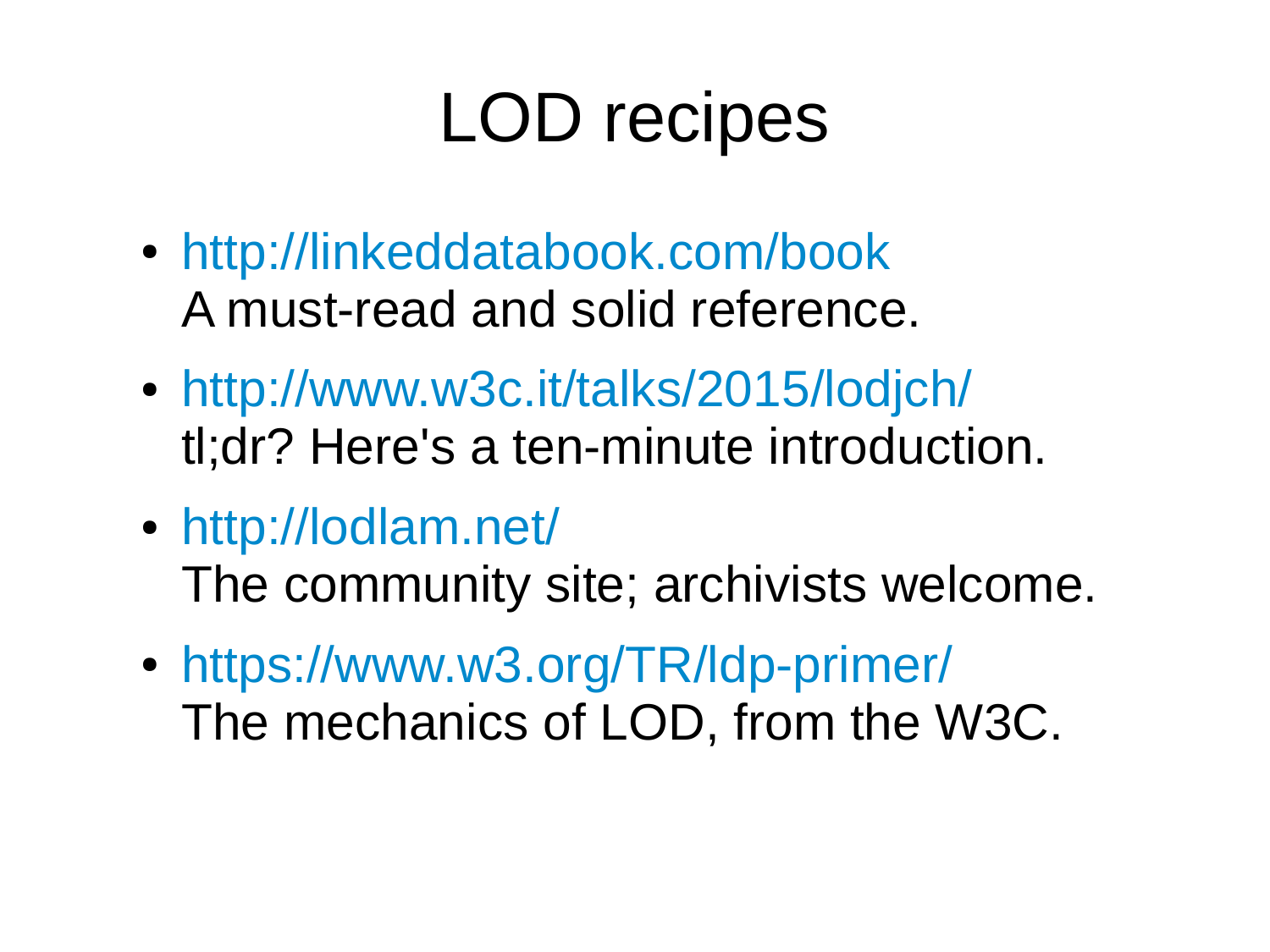# LOD recipes

- <http://linkeddatabook.com/book> A must-read and solid reference.
- <http://www.w3c.it/talks/2015/lodjch/> tl;dr? Here's a ten-minute introduction.
- <http://lodlam.net/> The community site; archivists welcome.
- <https://www.w3.org/TR/ldp-primer/> The mechanics of LOD, from the W3C.